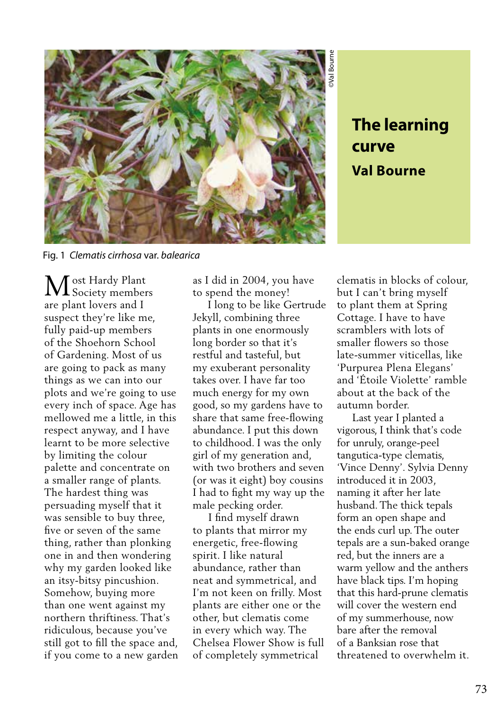

## **curve Val Bourne**

Fig. 1 *Clematis cirrhosa* var. *balearica*

M Society member Society members are plant lovers and I suspect they're like me, fully paid-up members of the Shoehorn School of Gardening. Most of us are going to pack as many things as we can into our plots and we're going to use every inch of space. Age has mellowed me a little, in this respect anyway, and I have learnt to be more selective by limiting the colour palette and concentrate on a smaller range of plants. The hardest thing was persuading myself that it was sensible to buy three, five or seven of the same thing, rather than plonking one in and then wondering why my garden looked like an itsy-bitsy pincushion. Somehow, buying more than one went against my northern thriftiness. That's ridiculous, because you've still got to fill the space and, if you come to a new garden as I did in 2004, you have to spend the money!

 I long to be like Gertrude Jekyll, combining three plants in one enormously long border so that it's restful and tasteful, but my exuberant personality takes over. I have far too much energy for my own good, so my gardens have to share that same free-flowing abundance. I put this down to childhood. I was the only girl of my generation and, with two brothers and seven (or was it eight) boy cousins I had to fight my way up the male pecking order.

 I find myself drawn to plants that mirror my energetic, free-flowing spirit. I like natural abundance, rather than neat and symmetrical, and I'm not keen on frilly. Most plants are either one or the other, but clematis come in every which way. The Chelsea Flower Show is full of completely symmetrical

clematis in blocks of colour, but I can't bring myself to plant them at Spring Cottage. I have to have scramblers with lots of smaller flowers so those late-summer viticellas, like 'Purpurea Plena Elegans' and 'Étoile Violette' ramble about at the back of the autumn border.

**The learning**<br> **Curve**<br> **Val Bourne**<br> **Val Bourne**<br> **Val Bourne**<br> **Val Bourne**<br> **I** can't bring myself<br>
plant them at Spring<br>
ttage. I have to have<br>
aller flowers so those<br>
aller flowers so those<br>
prime Plena Elegans'<br>
if Last year I planted a vigorous, I think that's code for unruly, orange-peel tangutica-type clematis, 'Vince Denny'. Sylvia Denny introduced it in 2003, naming it after her late husband. The thick tepals form an open shape and the ends curl up. The outer tepals are a sun-baked orange red, but the inners are a warm yellow and the anthers have black tips. I'm hoping that this hard-prune clematis will cover the western end of my summerhouse, now bare after the removal of a Banksian rose that threatened to overwhelm it.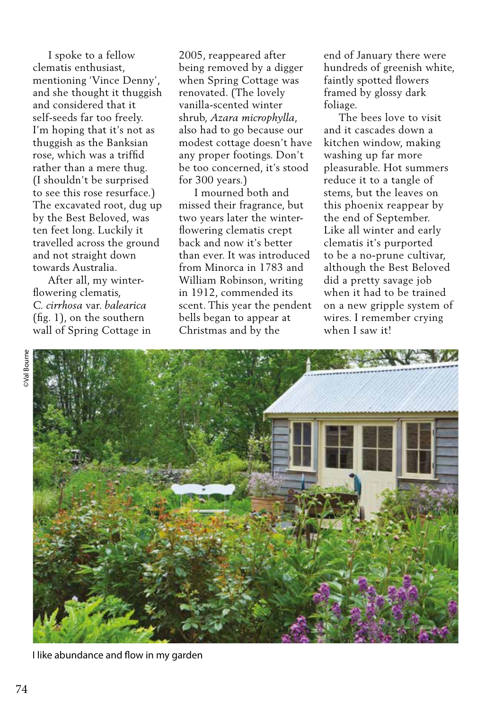I spoke to a fellow clematis enthusiast, mentioning 'Vince Denny', and she thought it thuggish and considered that it self-seeds far too freely. I'm hoping that it's not as thuggish as the Banksian rose, which was a triffid rather than a mere thug. (I shouldn't be surprised to see this rose resurface.) The excavated root, dug up by the Best Beloved, was ten feet long. Luckily it travelled across the ground and not straight down towards Australia.

 After all, my winterflowering clematis, *C. cirrhosa* var. *balearica*  (fig. 1), on the southern wall of Spring Cottage in 2005, reappeared after being removed by a digger when Spring Cottage was renovated. (The lovely vanilla-scented winter shrub, *Azara microphylla*, also had to go because our modest cottage doesn't have any proper footings. Don't be too concerned, it's stood for 300 years.)

 I mourned both and missed their fragrance, but two years later the winterflowering clematis crept back and now it's better than ever. It was introduced from Minorca in 1783 and William Robinson, writing in 1912, commended its scent. This year the pendent bells began to appear at Christmas and by the

end of January there were hundreds of greenish white, faintly spotted flowers framed by glossy dark foliage.

 The bees love to visit and it cascades down a kitchen window, making washing up far more pleasurable. Hot summers reduce it to a tangle of stems, but the leaves on this phoenix reappear by the end of September. Like all winter and early clematis it's purported to be a no-prune cultivar, although the Best Beloved did a pretty savage job when it had to be trained on a new gripple system of wires. I remember crying when I saw it!



I like abundance and flow in my garden